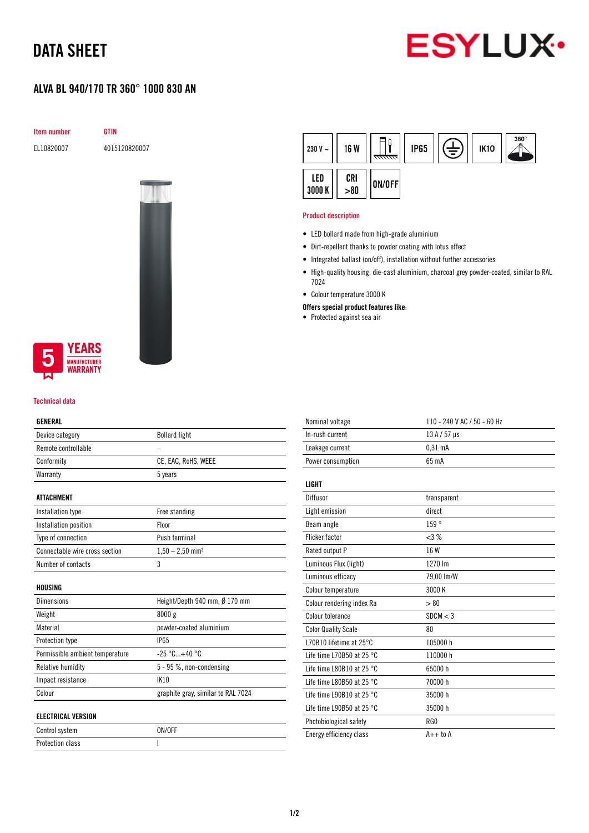# DATA SHEET

# **ESYLUX**

## ALVA BL 940/170 TR 360° 1000 830 AN

Item number GTIN

EL10820007 4015120820007



### **YEARS NUFACTURER** WARRANTY

#### Technical data

#### GENERAL

| ucneral                         |                                    |  |
|---------------------------------|------------------------------------|--|
| Device category                 | <b>Bollard light</b>               |  |
| Remote controllable             |                                    |  |
| Conformity                      | CE, EAC, RoHS, WEEE                |  |
| Warranty                        | 5 years                            |  |
| <b>ATTACHMENT</b>               |                                    |  |
| Installation type               | Free standing                      |  |
| Installation position           | Floor                              |  |
| Type of connection              | Push terminal                      |  |
| Connectable wire cross section  | $1,50 - 2,50$ mm <sup>2</sup>      |  |
| Number of contacts              | 3                                  |  |
| HOUSING                         |                                    |  |
| Dimensions                      | Height/Depth 940 mm, Ø 170 mm      |  |
| Weight                          | 8000 g                             |  |
| Material                        | powder-coated aluminium            |  |
| Protection type                 | <b>IP65</b>                        |  |
| Permissible ambient temperature | $-25 °C+40 °C$                     |  |
| Relative humidity               | 5 - 95 %, non-condensing           |  |
| Impact resistance               | <b>IK10</b>                        |  |
| Colour                          | graphite gray, similar to RAL 7024 |  |
| <b>ELECTRICAL VERSION</b>       |                                    |  |
| Control system                  | ON/OFF                             |  |

Protection class and a set of the set of the set of the set of the set of the set of the set of the set of the

| 230 V $\sim$  | <b>16 W</b> | <del>anna</del> | <b>IP65</b> | ₹ | <b>IK10</b> | $360^\circ$ |
|---------------|-------------|-----------------|-------------|---|-------------|-------------|
| LED<br>3000 K | CRI<br>>80  | ON/OFF          |             |   |             |             |

#### Product description

- LED bollard made from high-grade aluminium
- Dirt-repellent thanks to powder coating with lotus effect
- Integrated ballast (on/off), installation without further accessories
- High-quality housing, die-cast aluminium, charcoal grey powder-coated, similar to RAL 7024
- Colour temperature 3000 K
- Offers special product features like:
- Protected against sea air

| Nominal voltage                     | 110 - 240 V AC / 50 - 60 Hz |
|-------------------------------------|-----------------------------|
| In-rush current                     | $13A/57$ µs                 |
| Leakage current                     | $0.31$ mA                   |
| Power consumption                   | 65 mA                       |
|                                     |                             |
| LIGHT                               |                             |
| Diffusor                            | transparent                 |
| Light emission                      | direct                      |
| Beam angle                          | 159°                        |
| <b>Flicker factor</b>               | <3%                         |
| Rated output P                      | 16 W                        |
| Luminous Flux (light)               | 1270 lm                     |
| Luminous efficacy                   | 79,00 lm/W                  |
| Colour temperature                  | 3000 K                      |
| Colour rendering index Ra           | > 80                        |
| Colour tolerance                    | SDCM < 3                    |
| <b>Color Quality Scale</b>          | 80                          |
| L70B10 lifetime at $25^{\circ}$ C   | 105000 h                    |
| Life time L70B50 at 25 °C.          | 110000 h                    |
| Life time L80B10 at 25 $^{\circ}$ C | 65000h                      |
| Life time L80B50 at 25 $^{\circ}$ C | 70000 h                     |
| Life time L90B10 at 25 $^{\circ}$ C | 35000h                      |
| Life time L90B50 at 25 °C           | 35000h                      |
| Photobiological safety              | RG0                         |
| Energy efficiency class             | $A++$ to $A$                |
|                                     |                             |